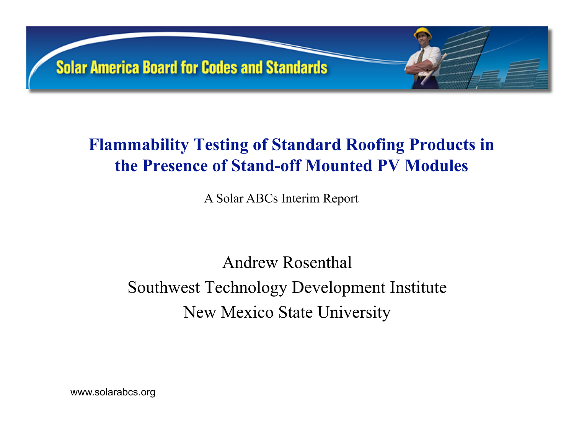

### **Flammability Testing of Standard Roofing Products in the Presence of Stand-off Mounted PV Modules**

A Solar ABCs Interim Report

Andrew Rosenthal Southwest Technology Development Institute New Mexico State University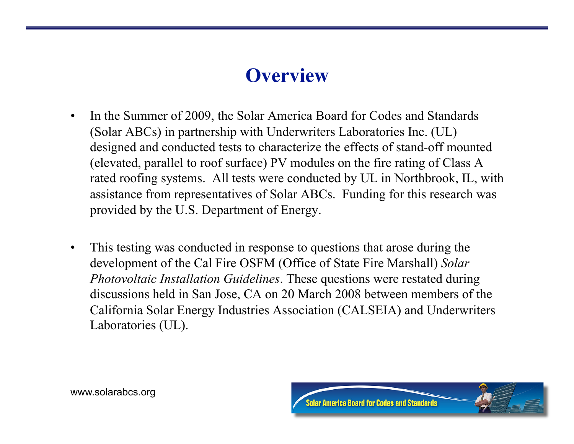## **Overview**

- In the Summer of 2009, the Solar America Board for Codes and Standards (Solar ABCs) in partnership with Underwriters Laboratories Inc. (UL) designed and conducted tests to characterize the effects of stand-off mounted (elevated, parallel to roof surface) PV modules on the fire rating of Class A rated roofing systems. All tests were conducted by UL in Northbrook, IL, with assistance from representatives of Solar ABCs. Funding for this research was provided by the U.S. Department of Energy.
- This testing was conducted in response to questions that arose during the development of the Cal Fire OSFM (Office of State Fire Marshall) *Solar Photovoltaic Installation Guidelines*. These questions were restated during discussions held in San Jose, CA on 20 March 2008 between members of the California Solar Energy Industries Association (CALSEIA) and Underwriters Laboratories (UL).

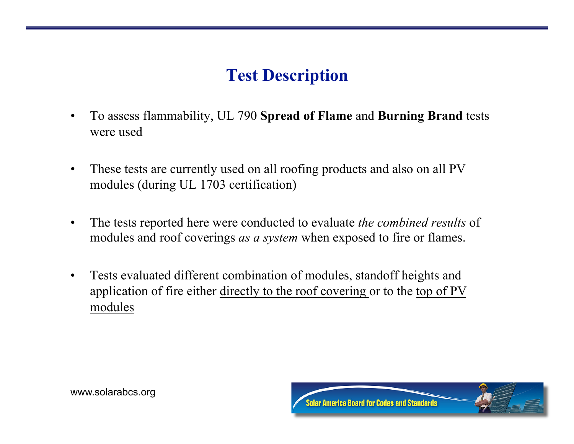#### **Test Description**

- To assess flammability, UL 790 **Spread of Flame** and **Burning Brand** tests were used
- These tests are currently used on all roofing products and also on all PV modules (during UL 1703 certification)
- The tests reported here were conducted to evaluate *the combined results* of modules and roof coverings *as a system* when exposed to fire or flames.
- Tests evaluated different combination of modules, standoff heights and application of fire either directly to the roof covering or to the top of PV modules

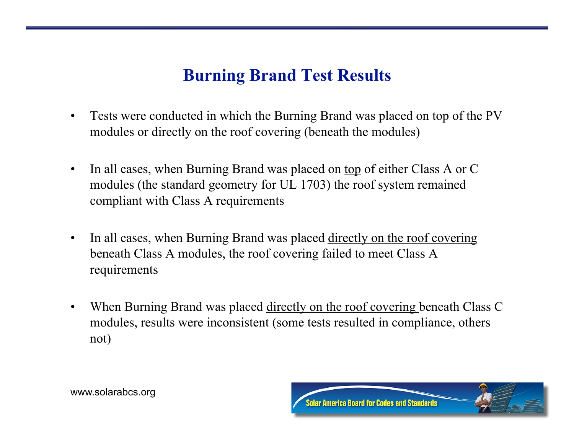#### **Burning Brand Test Results**

- Tests were conducted in which the Burning Brand was placed on top of the PV modules or directly on the roof covering (beneath the modules)
- In all cases, when Burning Brand was placed on top of either Class A or C modules (the standard geometry for UL 1703) the roof system remained compliant with Class A requirements
- In all cases, when Burning Brand was placed directly on the roof covering beneath Class A modules, the roof covering failed to meet Class A requirements
- When Burning Brand was placed <u>directly on the roof covering</u> beneath Class C modules, results were inconsistent (some tests resulted in compliance, others not)

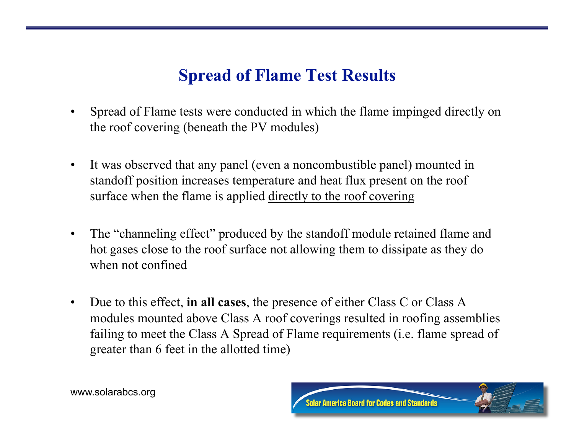#### **Spread of Flame Test Results**

- Spread of Flame tests were conducted in which the flame impinged directly on the roof covering (beneath the PV modules)
- It was observed that any panel (even a noncombustible panel) mounted in standoff position increases temperature and heat flux present on the roof surface when the flame is applied directly to the roof covering
- The "channeling effect" produced by the standoff module retained flame and hot gases close to the roof surface not allowing them to dissipate as they do when not confined
- Due to this effect, **in all cases**, the presence of either Class C or Class A modules mounted above Class A roof coverings resulted in roofing assemblies failing to meet the Class A Spread of Flame requirements (i.e. flame spread of greater than 6 feet in the allotted time)

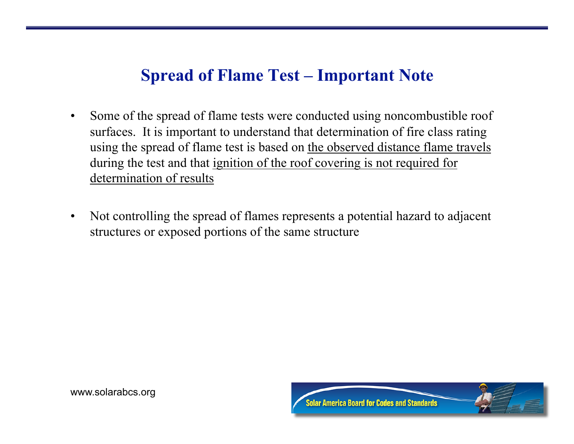#### **Spread of Flame Test – Important Note**

- Some of the spread of flame tests were conducted using noncombustible roof surfaces. It is important to understand that determination of fire class rating using the spread of flame test is based on the observed distance flame travels during the test and that ignition of the roof covering is not required for determination of results
- Not controlling the spread of flames represents a potential hazard to adjacent structures or exposed portions of the same structure

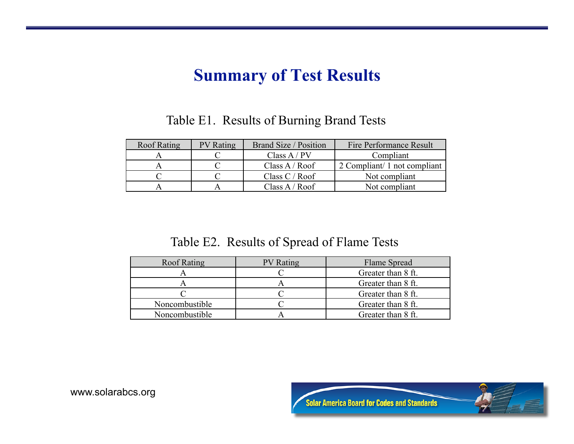#### **Summary of Test Results**

Table E1. Results of Burning Brand Tests

| Roof Rating | <b>PV</b> Rating | <b>Brand Size / Position</b> | Fire Performance Result      |
|-------------|------------------|------------------------------|------------------------------|
|             |                  | Class $A / PV$               | Compliant                    |
|             |                  | Class $A / Roof$             | 2 Compliant/ 1 not compliant |
|             |                  | Class $C /$ Roof             | Not compliant                |
|             |                  | Class $A / Roof$             | Not compliant                |

#### Table E2. Results of Spread of Flame Tests

| <b>Roof Rating</b> | <b>PV</b> Rating | Flame Spread       |
|--------------------|------------------|--------------------|
|                    |                  | Greater than 8 ft. |
|                    |                  | Greater than 8 ft. |
|                    |                  | Greater than 8 ft. |
| Noncombustible     |                  | Greater than 8 ft. |
| Noncombustible     |                  | Greater than 8 ft. |

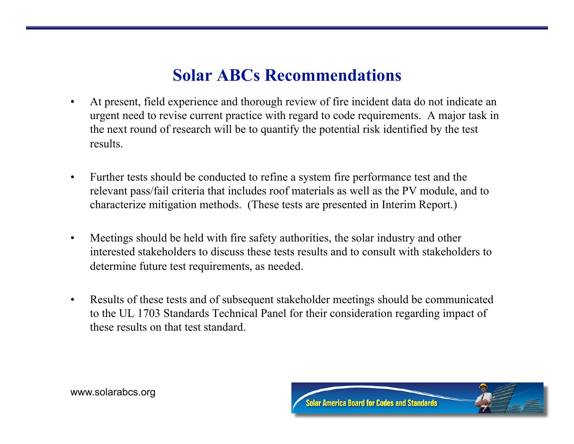#### **Solar ABCs Recommendations**

- At present, field experience and thorough review of fire incident data do not indicate an urgent need to revise current practice with regard to code requirements. A major task in the next round of research will be to quantify the potential risk identified by the test results.
- Further tests should be conducted to refine a system fire performance test and the relevant pass/fail criteria that includes roof materials as well as the PV module, and to characterize mitigation methods. (These tests are presented in Interim Report.)
- Meetings should be held with fire safety authorities, the solar industry and other interested stakeholders to discuss these tests results and to consult with stakeholders to determine future test requirements, as needed.
- Results of these tests and of subsequent stakeholder meetings should be communicated to the UL 1703 Standards Technical Panel for their consideration regarding impact of these results on that test standard.